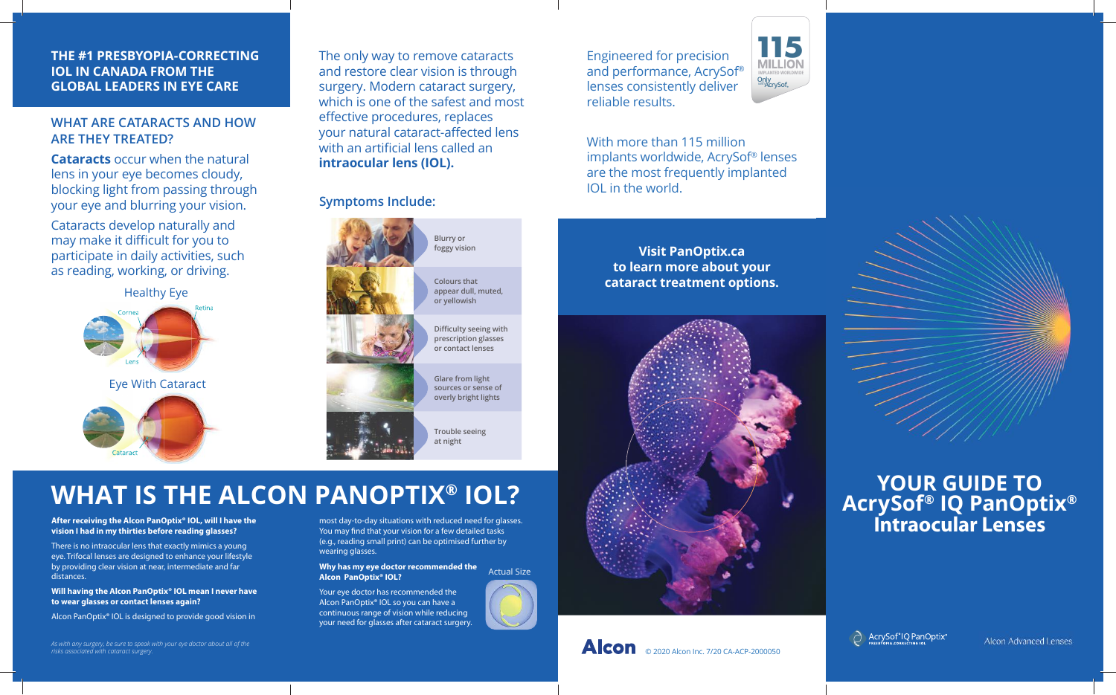#### **THE #1 PRESBYOPIA-CORRECTING IOL IN CANADA FROM THE GLOBAL LEADERS IN EYE CARE**

**WHAT ARE CATARACTS AND HOW ARE THEY TREATED?**

**Cataracts** occur when the natural lens in your eye becomes cloudy, blocking light from passing through your eye and blurring your vision.

Cataracts develop naturally and may make it difficult for you to participate in daily activities, such as reading, working, or driving.



The only way to remove cataracts and restore clear vision is through surgery. Modern cataract surgery, which is one of the safest and most effective procedures, replaces your natural cataract-affected lens with an artificial lens called an **intraocular lens (IOL).**

### **Symptoms Include:**



# **WHAT IS THE ALCON PANOPTIX® IOL?**

**After receiving the Alcon PanOptix® IOL, will I have the vision I had in my thirties before reading glasses?**

**Cataract** 

There is no intraocular lens that exactly mimics a young eye. Trifocal lenses are designed to enhance your lifestyle by providing clear vision at near, intermediate and far distances.

**Will having the Alcon PanOptix® IOL mean I never have to wear glasses or contact lenses again?**

Alcon PanOptix® IOL is designed to provide good vision in

*As with any surgery, be sure to speak with your eye doctor about all of the risks associated with cataract surgery.*

most day-to-day situations with reduced need for glasses. You may find that your vision for a few detailed tasks (e.g., reading small print) can be optimised further by wearing glasses.

**Why has my eye doctor recommended the Alcon PanOptix® IOL?** Actual Size

Your eye doctor has recommended the Alcon PanOptix® IOL so you can have a continuous range of vision while reducing your need for glasses after cataract surgery.



With more than 115 million implants worldwide, AcrySof® lenses are the most frequently implanted IOL in the world.

**IMPLANTED WORLDWIDE Only AcrySof** *with*

**115**

**to learn more about your cataract treatment options.**



# **Visit PanOptix.ca**





AcrySof<sup>®</sup>IQ PanOptix®

Alcon Advanced Lenses